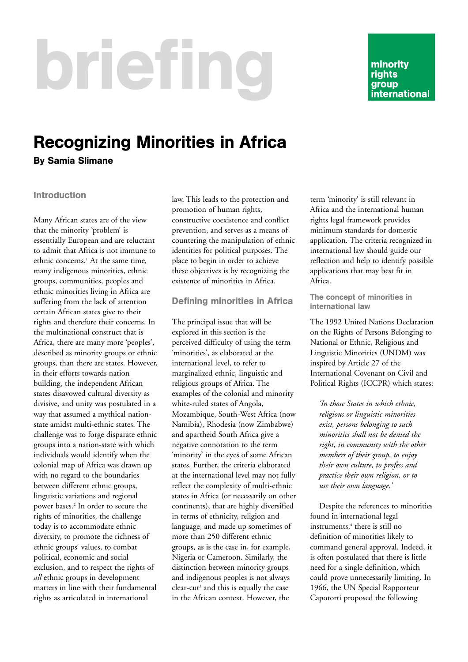# briefing

minority rights group international

## Recognizing Minorities in Africa

By Samia Slimane

### Introduction

Many African states are of the view that the minority 'problem' is essentially European and are reluctant to admit that Africa is not immune to ethnic concerns.<sup>1</sup> At the same time, many indigenous minorities, ethnic groups, communities, peoples and ethnic minorities living in Africa are suffering from the lack of attention certain African states give to their rights and therefore their concerns. In the multinational construct that is Africa, there are many more 'peoples', described as minority groups or ethnic groups, than there are states. However, in their efforts towards nation building, the independent African states disavowed cultural diversity as divisive, and unity was postulated in a way that assumed a mythical nationstate amidst multi-ethnic states. The challenge was to forge disparate ethnic groups into a nation-state with which individuals would identify when the colonial map of Africa was drawn up with no regard to the boundaries between different ethnic groups, linguistic variations and regional power bases.2 In order to secure the rights of minorities, the challenge today is to accommodate ethnic diversity, to promote the richness of ethnic groups' values, to combat political, economic and social exclusion, and to respect the rights of *all* ethnic groups in development matters in line with their fundamental rights as articulated in international

law. This leads to the protection and promotion of human rights, constructive coexistence and conflict prevention, and serves as a means of countering the manipulation of ethnic identities for political purposes. The place to begin in order to achieve these objectives is by recognizing the existence of minorities in Africa.

#### Defining minorities in Africa

The principal issue that will be explored in this section is the perceived difficulty of using the term 'minorities', as elaborated at the international level, to refer to marginalized ethnic, linguistic and religious groups of Africa. The examples of the colonial and minority white-ruled states of Angola, Mozambique, South-West Africa (now Namibia), Rhodesia (now Zimbabwe) and apartheid South Africa give a negative connotation to the term 'minority' in the eyes of some African states. Further, the criteria elaborated at the international level may not fully reflect the complexity of multi-ethnic states in Africa (or necessarily on other continents), that are highly diversified in terms of ethnicity, religion and language, and made up sometimes of more than 250 different ethnic groups, as is the case in, for example, Nigeria or Cameroon. Similarly, the distinction between minority groups and indigenous peoples is not always clear-cut<sup>3</sup> and this is equally the case in the African context. However, the

term 'minority' is still relevant in Africa and the international human rights legal framework provides minimum standards for domestic application. The criteria recognized in international law should guide our reflection and help to identify possible applications that may best fit in Africa.

#### The concept of minorities in international law

The 1992 United Nations Declaration on the Rights of Persons Belonging to National or Ethnic, Religious and Linguistic Minorities (UNDM) was inspired by Article 27 of the International Covenant on Civil and Political Rights (ICCPR) which states:

*'In those States in which ethnic, religious or linguistic minorities exist, persons belonging to such minorities shall not be denied the right, in community with the other members of their group, to enjoy their own culture, to profess and practice their own religion, or to use their own language.'* 

Despite the references to minorities found in international legal instruments,<sup>4</sup> there is still no definition of minorities likely to command general approval. Indeed, it is often postulated that there is little need for a single definition, which could prove unnecessarily limiting. In 1966, the UN Special Rapporteur Capotorti proposed the following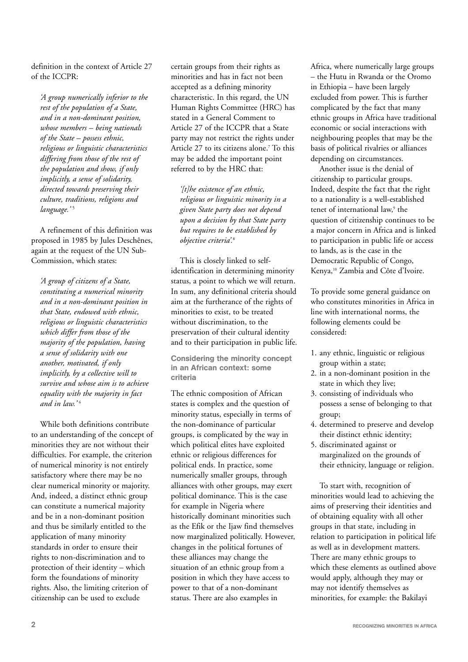definition in the context of Article 27 of the ICCPR:

*'A group numerically inferior to the rest of the population of a State, and in a non-dominant position, whose members – being nationals of the State – possess ethnic, religious or linguistic characteristics differing from those of the rest of the population and show, if only implicitly, a sense of solidarity, directed towards preserving their culture, traditions, religions and language.'* <sup>5</sup>

A refinement of this definition was proposed in 1985 by Jules Deschênes, again at the request of the UN Sub-Commission, which states:

*'A group of citizens of a State, constituting a numerical minority and in a non-dominant position in that State, endowed with ethnic, religious or linguistic characteristics which differ from those of the majority of the population, having a sense of solidarity with one another, motivated, if only implicitly, by a collective will to survive and whose aim is to achieve equality with the majority in fact and in law.'* <sup>6</sup>

While both definitions contribute to an understanding of the concept of minorities they are not without their difficulties. For example, the criterion of numerical minority is not entirely satisfactory where there may be no clear numerical minority or majority. And, indeed, a distinct ethnic group can constitute a numerical majority and be in a non-dominant position and thus be similarly entitled to the application of many minority standards in order to ensure their rights to non-discrimination and to protection of their identity – which form the foundations of minority rights. Also, the limiting criterion of citizenship can be used to exclude

certain groups from their rights as minorities and has in fact not been accepted as a defining minority characteristic. In this regard, the UN Human Rights Committee (HRC) has stated in a General Comment to Article 27 of the ICCPR that a State party may not restrict the rights under Article 27 to its citizens alone.<sup>7</sup> To this may be added the important point referred to by the HRC that:

*'[t]he existence of an ethnic, religious or linguistic minority in a given State party does not depend upon a decision by that State party but requires to be established by objective criteria'.*<sup>8</sup>

This is closely linked to selfidentification in determining minority status, a point to which we will return. In sum, any definitional criteria should aim at the furtherance of the rights of minorities to exist, to be treated without discrimination, to the preservation of their cultural identity and to their participation in public life.

Considering the minority concept in an African context: some criteria

The ethnic composition of African states is complex and the question of minority status, especially in terms of the non-dominance of particular groups, is complicated by the way in which political elites have exploited ethnic or religious differences for political ends. In practice, some numerically smaller groups, through alliances with other groups, may exert political dominance. This is the case for example in Nigeria where historically dominant minorities such as the Efik or the Ijaw find themselves now marginalized politically. However, changes in the political fortunes of these alliances may change the situation of an ethnic group from a position in which they have access to power to that of a non-dominant status. There are also examples in

Africa, where numerically large groups – the Hutu in Rwanda or the Oromo in Ethiopia – have been largely excluded from power. This is further complicated by the fact that many ethnic groups in Africa have traditional economic or social interactions with neighbouring peoples that may be the basis of political rivalries or alliances depending on circumstances.

Another issue is the denial of citizenship to particular groups. Indeed, despite the fact that the right to a nationality is a well-established tenet of international law,<sup>9</sup> the question of citizenship continues to be a major concern in Africa and is linked to participation in public life or access to lands, as is the case in the Democratic Republic of Congo, Kenya,10 Zambia and Côte d'Ivoire.

To provide some general guidance on who constitutes minorities in Africa in line with international norms, the following elements could be considered:

- 1. any ethnic, linguistic or religious group within a state;
- 2. in a non-dominant position in the state in which they live;
- 3. consisting of individuals who possess a sense of belonging to that group;
- 4. determined to preserve and develop their distinct ethnic identity;
- 5. discriminated against or marginalized on the grounds of their ethnicity, language or religion.

To start with, recognition of minorities would lead to achieving the aims of preserving their identities and of obtaining equality with all other groups in that state, including in relation to participation in political life as well as in development matters. There are many ethnic groups to which these elements as outlined above would apply, although they may or may not identify themselves as minorities, for example: the Bakilayi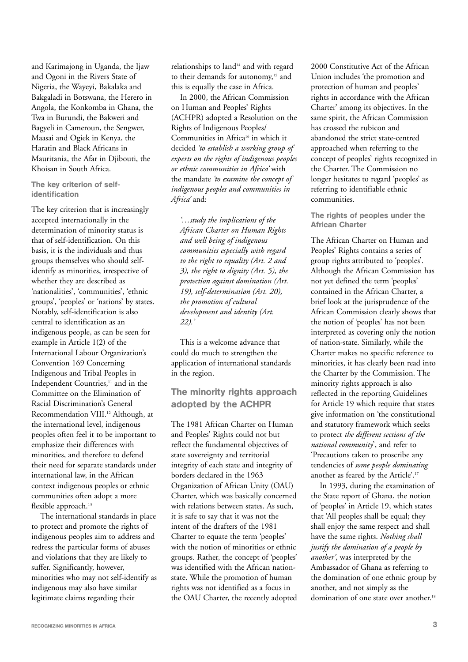and Karimajong in Uganda, the Ijaw and Ogoni in the Rivers State of Nigeria, the Wayeyi, Bakalaka and Bakgaladi in Botswana, the Herero in Angola, the Konkomba in Ghana, the Twa in Burundi, the Bakweri and Bagyeli in Cameroun, the Sengwer, Maasai and Ogiek in Kenya, the Haratin and Black Africans in Mauritania, the Afar in Djibouti, the Khoisan in South Africa.

The key criterion of selfidentification

The key criterion that is increasingly accepted internationally in the determination of minority status is that of self-identification. On this basis, it is the individuals and thus groups themselves who should selfidentify as minorities, irrespective of whether they are described as 'nationalities', 'communities', 'ethnic groups', 'peoples' or 'nations' by states. Notably, self-identification is also central to identification as an indigenous people, as can be seen for example in Article 1(2) of the International Labour Organization's Convention 169 Concerning Indigenous and Tribal Peoples in Independent Countries,<sup>11</sup> and in the Committee on the Elimination of Racial Discrimination's General Recommendation VIII.<sup>12</sup> Although, at the international level, indigenous peoples often feel it to be important to emphasize their differences with minorities, and therefore to defend their need for separate standards under international law, in the African context indigenous peoples or ethnic communities often adopt a more flexible approach.<sup>13</sup>

The international standards in place to protect and promote the rights of indigenous peoples aim to address and redress the particular forms of abuses and violations that they are likely to suffer. Significantly, however, minorities who may not self-identify as indigenous may also have similar legitimate claims regarding their

relationships to land<sup>14</sup> and with regard to their demands for autonomy,<sup>15</sup> and this is equally the case in Africa.

In 2000, the African Commission on Human and Peoples' Rights (ACHPR) adopted a Resolution on the Rights of Indigenous Peoples/ Communities in Africa<sup>16</sup> in which it decided *'to establish a working group of experts on the rights of indigenous peoples or ethnic communities in Africa'* with the mandate *'to examine the concept of indigenous peoples and communities in Africa'* and:

*'…study the implications of the African Charter on Human Rights and well being of indigenous communities especially with regard to the right to equality (Art. 2 and 3), the right to dignity (Art. 5), the protection against domination (Art. 19), self-determination (Art. 20), the promotion of cultural development and identity (Art. 22).'* 

This is a welcome advance that could do much to strengthen the application of international standards in the region.

The minority rights approach adopted by the ACHPR

The 1981 African Charter on Human and Peoples' Rights could not but reflect the fundamental objectives of state sovereignty and territorial integrity of each state and integrity of borders declared in the 1963 Organization of African Unity (OAU) Charter, which was basically concerned with relations between states. As such, it is safe to say that it was not the intent of the drafters of the 1981 Charter to equate the term 'peoples' with the notion of minorities or ethnic groups. Rather, the concept of 'peoples' was identified with the African nationstate. While the promotion of human rights was not identified as a focus in the OAU Charter, the recently adopted 2000 Constitutive Act of the African Union includes 'the promotion and protection of human and peoples' rights in accordance with the African Charter' among its objectives. In the same spirit, the African Commission has crossed the rubicon and abandoned the strict state-centred approached when referring to the concept of peoples' rights recognized in the Charter. The Commission no longer hesitates to regard 'peoples' as referring to identifiable ethnic communities.

The rights of peoples under the African Charter

The African Charter on Human and Peoples' Rights contains a series of group rights attributed to 'peoples'. Although the African Commission has not yet defined the term 'peoples' contained in the African Charter, a brief look at the jurisprudence of the African Commission clearly shows that the notion of 'peoples' has not been interpreted as covering only the notion of nation-state. Similarly, while the Charter makes no specific reference to minorities, it has clearly been read into the Charter by the Commission. The minority rights approach is also reflected in the reporting Guidelines for Article 19 which require that states give information on 'the constitutional and statutory framework which seeks to protect *the different sections of the national community*', and refer to 'Precautions taken to proscribe any tendencies of *some people dominating* another as feared by the Article'.17

In 1993, during the examination of the State report of Ghana, the notion of 'peoples' in Article 19, which states that 'All peoples shall be equal; they shall enjoy the same respect and shall have the same rights. *Nothing shall justify the domination of a people by another'*, was interpreted by the Ambassador of Ghana as referring to the domination of one ethnic group by another, and not simply as the domination of one state over another.<sup>18</sup>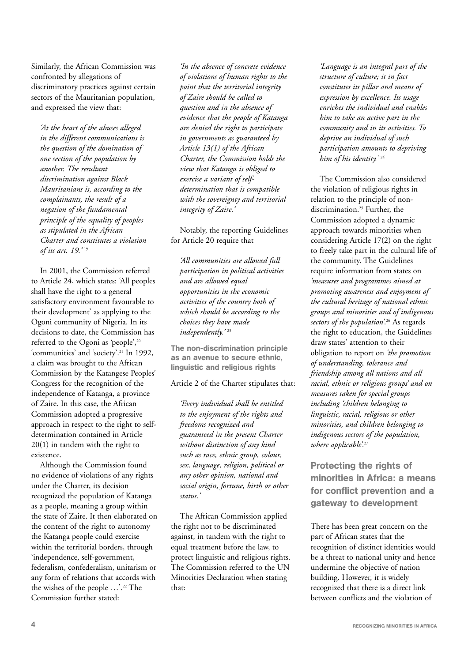Similarly, the African Commission was confronted by allegations of discriminatory practices against certain sectors of the Mauritanian population, and expressed the view that:

*'At the heart of the abuses alleged in the different communications is the question of the domination of one section of the population by another. The resultant discrimination against Black Mauritanians is, according to the complainants, the result of a negation of the fundamental principle of the equality of peoples as stipulated in the African Charter and constitutes a violation of its art. 19.'* <sup>19</sup>

In 2001, the Commission referred to Article 24, which states: 'All peoples shall have the right to a general satisfactory environment favourable to their development' as applying to the Ogoni community of Nigeria. In its decisions to date, the Commission has referred to the Ogoni as 'people',<sup>20</sup> 'communities' and 'society'.21 In 1992, a claim was brought to the African Commission by the Katangese Peoples' Congress for the recognition of the independence of Katanga, a province of Zaire. In this case, the African Commission adopted a progressive approach in respect to the right to selfdetermination contained in Article 20(1) in tandem with the right to existence.

Although the Commission found no evidence of violations of any rights under the Charter, its decision recognized the population of Katanga as a people, meaning a group within the state of Zaire. It then elaborated on the content of the right to autonomy the Katanga people could exercise within the territorial borders, through 'independence, self-government, federalism, confederalism, unitarism or any form of relations that accords with the wishes of the people …'.22 The Commission further stated:

*'In the absence of concrete evidence of violations of human rights to the point that the territorial integrity of Zaire should be called to question and in the absence of evidence that the people of Katanga are denied the right to participate in governments as guaranteed by Article 13(1) of the African Charter, the Commission holds the view that Katanga is obliged to exercise a variant of selfdetermination that is compatible with the sovereignty and territorial integrity of Zaire.'*

Notably, the reporting Guidelines for Article 20 require that

*'All communities are allowed full participation in political activities and are allowed equal opportunities in the economic activities of the country both of which should be according to the choices they have made independently.'* <sup>23</sup>

The non-discrimination principle as an avenue to secure ethnic, linguistic and religious rights

Article 2 of the Charter stipulates that:

*'Every individual shall be entitled to the enjoyment of the rights and freedoms recognized and guaranteed in the present Charter without distinction of any kind such as race, ethnic group, colour, sex, language, religion, political or any other opinion, national and social origin, fortune, birth or other status.'* 

The African Commission applied the right not to be discriminated against, in tandem with the right to equal treatment before the law, to protect linguistic and religious rights. The Commission referred to the UN Minorities Declaration when stating that:

*'Language is an integral part of the structure of culture; it in fact constitutes its pillar and means of expression by excellence. Its usage enriches the individual and enables him to take an active part in the community and in its activities. To deprive an individual of such participation amounts to depriving him of his identity.'* <sup>24</sup>

The Commission also considered the violation of religious rights in relation to the principle of nondiscrimination.<sup>25</sup> Further, the Commission adopted a dynamic approach towards minorities when considering Article 17(2) on the right to freely take part in the cultural life of the community. The Guidelines require information from states on *'measures and programmes aimed at promoting awareness and enjoyment of the cultural heritage of national ethnic groups and minorities and of indigenous sectors of the population'*. <sup>26</sup> As regards the right to education, the Guidelines draw states' attention to their obligation to report on *'the promotion of understanding, tolerance and friendship among all nations and all racial, ethnic or religious groups' and on measures taken for special groups including 'children belonging to linguistic, racial, religious or other minorities, and children belonging to indigenous sectors of the population, where applicable'*. 27

Protecting the rights of minorities in Africa: a means for conflict prevention and a gateway to development

There has been great concern on the part of African states that the recognition of distinct identities would be a threat to national unity and hence undermine the objective of nation building. However, it is widely recognized that there is a direct link between conflicts and the violation of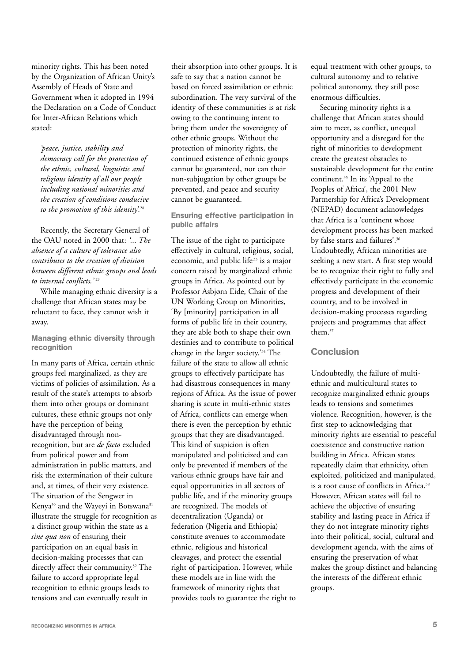minority rights. This has been noted by the Organization of African Unity's Assembly of Heads of State and Government when it adopted in 1994 the Declaration on a Code of Conduct for Inter-African Relations which stated:

*'peace, justice, stability and democracy call for the protection of the ethnic, cultural, linguistic and religious identity of all our people including national minorities and the creation of conditions conducive to the promotion of this identity'.*<sup>28</sup>

Recently, the Secretary General of the OAU noted in 2000 that: *'... The absence of a culture of tolerance also contributes to the creation of division between different ethnic groups and leads to internal conflicts.'* <sup>29</sup>

While managing ethnic diversity is a challenge that African states may be reluctant to face, they cannot wish it away.

Managing ethnic diversity through recognition

In many parts of Africa, certain ethnic groups feel marginalized, as they are victims of policies of assimilation. As a result of the state's attempts to absorb them into other groups or dominant cultures, these ethnic groups not only have the perception of being disadvantaged through nonrecognition, but are *de facto* excluded from political power and from administration in public matters, and risk the extermination of their culture and, at times, of their very existence. The situation of the Sengwer in Kenya<sup>30</sup> and the Wayeyi in Botswana<sup>31</sup> illustrate the struggle for recognition as a distinct group within the state as a *sine qua non* of ensuring their participation on an equal basis in decision-making processes that can directly affect their community.<sup>32</sup> The failure to accord appropriate legal recognition to ethnic groups leads to tensions and can eventually result in

their absorption into other groups. It is safe to say that a nation cannot be based on forced assimilation or ethnic subordination. The very survival of the identity of these communities is at risk owing to the continuing intent to bring them under the sovereignty of other ethnic groups. Without the protection of minority rights, the continued existence of ethnic groups cannot be guaranteed, nor can their non-subjugation by other groups be prevented, and peace and security cannot be guaranteed.

Ensuring effective participation in public affairs

The issue of the right to participate effectively in cultural, religious, social, economic, and public life<sup>33</sup> is a major concern raised by marginalized ethnic groups in Africa. As pointed out by Professor Asbjørn Eide, Chair of the UN Working Group on Minorities, 'By [minority] participation in all forms of public life in their country, they are able both to shape their own destinies and to contribute to political change in the larger society.'34 The failure of the state to allow all ethnic groups to effectively participate has had disastrous consequences in many regions of Africa. As the issue of power sharing is acute in multi-ethnic states of Africa, conflicts can emerge when there is even the perception by ethnic groups that they are disadvantaged. This kind of suspicion is often manipulated and politicized and can only be prevented if members of the various ethnic groups have fair and equal opportunities in all sectors of public life, and if the minority groups are recognized. The models of decentralization (Uganda) or federation (Nigeria and Ethiopia) constitute avenues to accommodate ethnic, religious and historical cleavages, and protect the essential right of participation. However, while these models are in line with the framework of minority rights that provides tools to guarantee the right to

equal treatment with other groups, to cultural autonomy and to relative political autonomy, they still pose enormous difficulties.

Securing minority rights is a challenge that African states should aim to meet, as conflict, unequal opportunity and a disregard for the right of minorities to development create the greatest obstacles to sustainable development for the entire continent.<sup>35</sup> In its 'Appeal to the Peoples of Africa', the 2001 New Partnership for Africa's Development (NEPAD) document acknowledges that Africa is a 'continent whose development process has been marked by false starts and failures'.<sup>36</sup> Undoubtedly, African minorities are seeking a new start. A first step would be to recognize their right to fully and effectively participate in the economic progress and development of their country, and to be involved in decision-making processes regarding projects and programmes that affect them<sup>37</sup>

#### **Conclusion**

Undoubtedly, the failure of multiethnic and multicultural states to recognize marginalized ethnic groups leads to tensions and sometimes violence. Recognition, however, is the first step to acknowledging that minority rights are essential to peaceful coexistence and constructive nation building in Africa. African states repeatedly claim that ethnicity, often exploited, politicized and manipulated, is a root cause of conflicts in Africa.<sup>38</sup> However, African states will fail to achieve the objective of ensuring stability and lasting peace in Africa if they do not integrate minority rights into their political, social, cultural and development agenda, with the aims of ensuring the preservation of what makes the group distinct and balancing the interests of the different ethnic groups.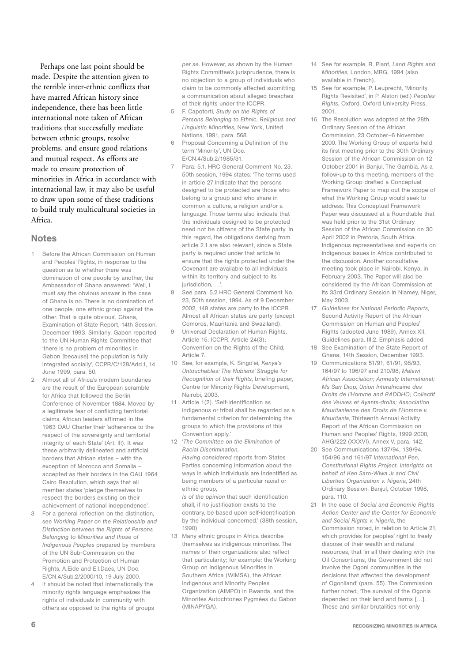Perhaps one last point should be made. Despite the attention given to the terrible inter-ethnic conflicts that have marred African history since independence, there has been little international note taken of African traditions that successfully mediate between ethnic groups, resolve problems, and ensure good relations and mutual respect. As efforts are made to ensure protection of minorities in Africa in accordance with international law, it may also be useful to draw upon some of these traditions to build truly multicultural societies in Africa.

#### **Notes**

- 1 Before the African Commission on Human and Peoples' Rights, in response to the question as to whether there was domination of one people by another, the Ambassador of Ghana answered: 'Well, I must say the obvious answer in the case of Ghana is no. There is no domination of one people, one ethnic group against the other. That is quite obvious', Ghana Examination of State Report, 14th Session, December 1993. Similarly, Gabon reported to the UN Human Rights Committee that 'there is no problem of minorities in Gabon [because] the population is fully integrated socially', CCPR/C/128/Add.1, 14 June 1999, para. 50.
- 2 Almost all of Africa's modern boundaries are the result of the European scramble for Africa that followed the Berlin Conference of November 1884. Moved by a legitimate fear of conflicting territorial claims, African leaders affirmed in the 1963 OAU Charter their 'adherence to the respect of the sovereignty and territorial integrity of each State' (Art. III). It was these arbitrarily delineated and artificial borders that African states – with the exception of Morocco and Somalia – accepted as their borders in the OAU 1964 Cairo Resolution, which says that all member states 'pledge themselves to respect the borders existing on their achievement of national independence'.
- 3 For a general reflection on the distinction, see *Working Paper on the Relationship and Distinction between the Rights of Persons Belonging to Minorities and those of Indigenous Peoples* prepared by members of the UN Sub-Commission on the Promotion and Protection of Human Rights, A.Eide and E.I.Daes, UN Doc. E/CN.4/Sub.2/2000/10, 19 July 2000.
- 4 It should be noted that internationally the minority rights language emphasizes the rights of individuals in community with others as opposed to the rights of groups

*per se*. However, as shown by the Human Rights Committee's jurisprudence, there is no objection to a group of individuals who claim to be commonly affected submitting a communication about alleged breaches of their rights under the ICCPR.

- 5 F. Capotorti, *Study on the Rights of Persons Belonging to Ethnic, Religious and Linguistic Minorities*, New York, United Nations, 1991, para. 568.
- 6 Proposal Concerning a Definition of the term 'Minority', UN Doc. E/CN.4/Sub.2/1985/31.
- 7 Para. 5.1. HRC General Comment No. 23, 50th session, 1994 states: 'The terms used in article 27 indicate that the persons designed to be protected are those who belong to a group and who share in common a culture, a religion and/or a language. Those terms also indicate that the individuals designed to be protected need not be citizens of the State party. In this regard, the obligations deriving from article 2.1 are also relevant, since a State party is required under that article to ensure that the rights protected under the Covenant are available to all individuals within its territory and subject to its jurisdiction, ...'
- 8 See para. 5.2 HRC General Comment No. 23, 50th session, 1994. As of 9 December 2002, 149 states are party to the ICCPR. Almost all African states are party (except Comoros, Mauritania and Swaziland).
- 9 Universal Declaration of Human Rights, Article 15; ICCPR, Article 24(3); Convention on the Rights of the Child, Article 7.
- 10 See, for example, K. Singo'ei, *Kenya's Untouchables: The Nubians' Struggle for Recognition of their Rights*, briefing paper, Centre for Minority Rights Development, Nairobi, 2003.
- 11 Article 1(2). 'Self-identification as indigenous or tribal shall be regarded as a fundamental criterion for determining the groups to which the provisions of this Convention apply.'
- 12 '*The Committee on the Elimination of Racial Discrimination*, *Having considered* reports from States

Parties concerning information about the ways in which individuals are indentified as being members of a particular racial or ethnic group. *Is of the opinion* that such identification

shall, if no justification exists to the contrary, be based upon self-identification by the individual concerned.' (38th session, 1990)

13 Many ethnic groups in Africa describe themselves as indigenous minorities. The names of their organizations also reflect that particularity; for example: the Working Group on Indigenous Minorities in Southern Africa (WIMSA), the African Indigenous and Minority Peoples Organization (AIMPO) in Rwanda, and the Minorités Autochtones Pygmées du Gabon (MINAPYGA).

- 14 See for example, R. Plant, *Land Rights and Minorities*, London, MRG, 1994 (also available in French).
- 15 See for example, P. Leuprecht, 'Minority Rights Revisited', in P. Alston (ed.) *Peoples' Rights*, Oxford, Oxford University Press, 2001.
- 16 The Resolution was adopted at the 28th Ordinary Session of the African Commission, 23 October–6 November 2000. The Working Group of experts held its first meeting prior to the 30th Ordinary Session of the African Commission on 12 October 2001 in Banjul, The Gambia. As a follow-up to this meeting, members of the Working Group drafted a Conceptual Framework Paper to map out the scope of what the Working Group would seek to address. This Conceptual Framework Paper was discussed at a Roundtable that was held prior to the 31st Ordinary Session of the African Commission on 30 April 2002 in Pretoria, South Africa. Indigenous representatives and experts on indigenous issues in Africa contributed to the discussion. Another consultative meeting took place in Nairobi, Kenya, in February 2003. The Paper will also be considered by the African Commission at its 33rd Ordinary Session in Niamey, Niger, May 2003.
- 17 *Guidelines for National Periodic Reports*, Second Activity Report of the African Commission on Human and Peoples' Rights (adopted June 1989), Annex XII, Guidelines para. III.2. Emphasis added.
- 18 See Examination of the State Report of Ghana, 14th Session, December 1993.
- 19 Communications 51/91, 61/91, 98/93, 164/97 to 196/97 and 210/98, *Malawi African Association; Amnesty International; Ms Sarr Diop, Union Interafricaine des Droits de l'Homme and RADDHO; Collectif des Veuves et Ayants-droits; Association Mauritanienne des Droits de l'Homme v. Mauritania*, Thirteenth Annual Activity Report of the African Commission on Human and Peoples' Rights, 1999-2000, AHG/222 (XXXVI), Annex V, para. 142.
- 20 See Communications 137/94, 139/94, 154/96 and 161/97 *International Pen, Constitutional Rights Project, Interights on behalf of Ken Saro-Wiwa Jr and Civil Liberties Organization v. Nigeria*, 24th Ordinary Session, Banjul, October 1998, para. 110.
- 21 In the case of *Social and Economic Rights Action Center and the Center for Economic and Social Rights v. Nigeria*, the Commission noted, in relation to Article 21, which provides for peoples' right to freely dispose of their wealth and natural resources, that 'in all their dealing with the Oil Consortiums, the Government did not involve the Ogoni communities in the decisions that affected the development of Ogoniland' (para. 55). The Commission further noted, 'The survival of the Ogonis depended on their land and farms […]. These and similar brutalities not only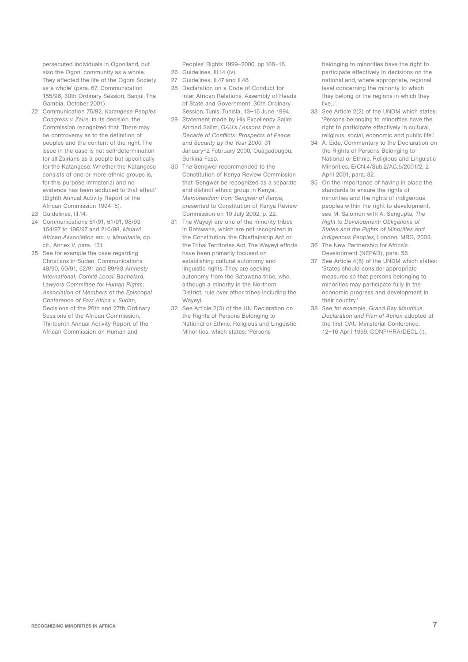persecuted individuals in Ogoniland, but also the Ogoni community as a whole. They affected the life of the Ogoni Society as a whole' (para. 67, Communication 155/96, 30th Ordinary Session, Banjul, The Gambia, October 2001).

- 22 Communication 75/92, *Katangese Peoples' Congress v. Zaire*. In its decision, the Commission recognized that 'There may be controversy as to the definition of peoples and the content of the right. The issue in the case is not self-determination for all Zairians as a people but specifically for the Katangese. Whether the Katangese consists of one or more ethnic groups is, for this purpose immaterial and no evidence has been adduced to that effect' (Eighth Annual Activity Report of the African Commission 1994–5).
- 23 Guidelines, III.14.
- 24 Communications 51/91, 61/91, 98/93, 164/97 to 196/97 and 210/98, *Malawi African Association etc. v. Mauritania*, op. cit., Annex V, para. 131.
- 25 See for example the case regarding Christians in Sudan. Communications 48/90, 50/91, 52/91 and 89/93 *Amnesty International; Comité Loosli Bachelard; Lawyers Committee for Human Rights; Association of Members of the Episcopal Conference of East Africa v. Sudan*, Decisions of the 26th and 27th Ordinary Sessions of the African Commission, Thirteenth Annual Activity Report of the African Commission on Human and

Peoples' Rights 1999–2000, pp.108–18.

- 26 Guidelines, III.14 (iv).
- 27 Guidelines, II.47 and II.48.
- 28 Declaration on a Code of Conduct for Inter-African Relations, Assembly of Heads of State and Government, 30th Ordinary Session, Tunis, Tunisia, 13–15 June 1994.
- 29 Statement made by His Excellency Salim Ahmed Salim, *OAU's Lessons from a Decade of Conflicts: Prospects of Peace and Security by the Year 2000*, 31 January–2 February 2000, Ouagadougou, Burkina Faso.
- 30 The Sengwer recommended to the Constitution of Kenya Review Commission that 'Sengwer be recognized as a separate and distinct ethnic group in Kenya', *Memorandum from Sengwer of Kenya*, presented to Constitution of Kenya Review Commission on 10 July 2002, p. 22.
- 31 The Wayeyi are one of the minority tribes in Botswana, which are not recognized in the Constitution, the Chieftainship Act or the Tribal Territories Act. The Wayeyi efforts have been primarily focused on establishing cultural autonomy and linguistic rights. They are seeking autonomy from the Batawana tribe, who, although a minority in the Northern District, rule over other tribes including the Wayeyi.
- 32 See Article 2(3) of the UN Declaration on the Rights of Persons Belonging to National or Ethnic, Religious and Linguistic Minorities, which states: 'Persons

belonging to minorities have the right to participate effectively in decisions on the national and, where appropriate, regional level concerning the minority to which they belong or the regions in which they live.'

- 33 See Article 2(2) of the UNDM which states: 'Persons belonging to minorities have the right to participate effectively in cultural, religious, social, economic and public life.'
- 34 A. Eide, Commentary to the Declaration on the Rights of Persons Belonging to National or Ethnic, Religious and Linguistic Minorities, E/CN.4/Sub.2/AC.5/2001/2, 2 April 2001, para. 32.
- 35 On the importance of having in place the standards to ensure the rights of minorities and the rights of indigenous peoples within the right to development, see M. Salomon with A. Sengupta, *The Right to Development: Obligations of States and the Rights of Minorities and Indigenous Peoples*, London, MRG, 2003.
- 36 The New Partnership for Africa's Development (NEPAD), para. 58.
- See Article 4(5) of the UNDM which states: 'States should consider appropriate measures so that persons belonging to minorities may participate fully in the economic progress and development in their country.'
- 38 See for example, *Grand Bay Mauritius Declaration and Plan of Action* adopted at the first OAU Ministerial Conference, 12–16 April 1999. CONF/HRA/DECL (I).